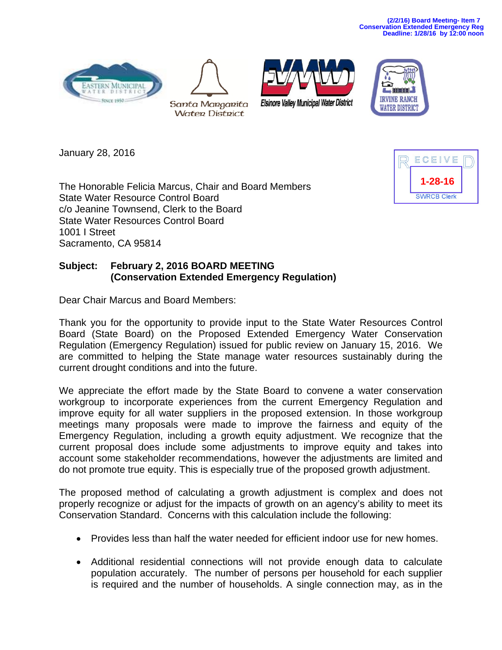







January 28, 2016



The Honorable Felicia Marcus, Chair and Board Members State Water Resource Control Board c/o Jeanine Townsend, Clerk to the Board State Water Resources Control Board 1001 I Street Sacramento, CA 95814

## **Subject: February 2, 2016 BOARD MEETING (Conservation Extended Emergency Regulation)**

Dear Chair Marcus and Board Members:

Thank you for the opportunity to provide input to the State Water Resources Control Board (State Board) on the Proposed Extended Emergency Water Conservation Regulation (Emergency Regulation) issued for public review on January 15, 2016. We are committed to helping the State manage water resources sustainably during the current drought conditions and into the future.

We appreciate the effort made by the State Board to convene a water conservation workgroup to incorporate experiences from the current Emergency Regulation and improve equity for all water suppliers in the proposed extension. In those workgroup meetings many proposals were made to improve the fairness and equity of the Emergency Regulation, including a growth equity adjustment. We recognize that the current proposal does include some adjustments to improve equity and takes into account some stakeholder recommendations, however the adjustments are limited and do not promote true equity. This is especially true of the proposed growth adjustment.

The proposed method of calculating a growth adjustment is complex and does not properly recognize or adjust for the impacts of growth on an agency's ability to meet its Conservation Standard. Concerns with this calculation include the following:

- Provides less than half the water needed for efficient indoor use for new homes.
- Additional residential connections will not provide enough data to calculate population accurately. The number of persons per household for each supplier is required and the number of households. A single connection may, as in the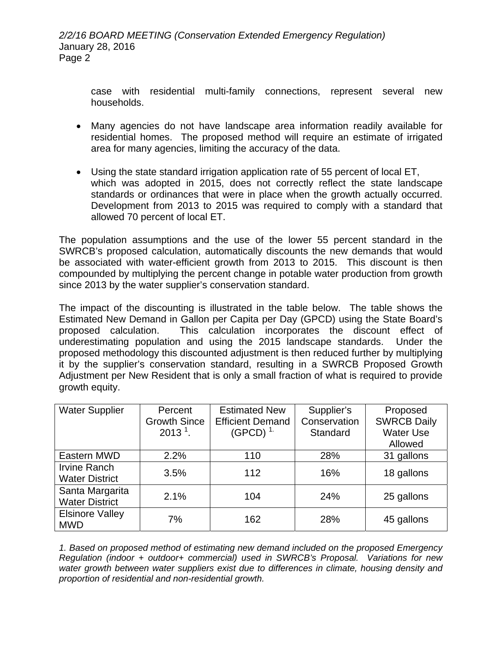case with residential multi-family connections, represent several new households.

- Many agencies do not have landscape area information readily available for residential homes. The proposed method will require an estimate of irrigated area for many agencies, limiting the accuracy of the data.
- Using the state standard irrigation application rate of 55 percent of local ET, which was adopted in 2015, does not correctly reflect the state landscape standards or ordinances that were in place when the growth actually occurred. Development from 2013 to 2015 was required to comply with a standard that allowed 70 percent of local ET.

The population assumptions and the use of the lower 55 percent standard in the SWRCB's proposed calculation, automatically discounts the new demands that would be associated with water-efficient growth from 2013 to 2015. This discount is then compounded by multiplying the percent change in potable water production from growth since 2013 by the water supplier's conservation standard.

The impact of the discounting is illustrated in the table below. The table shows the Estimated New Demand in Gallon per Capita per Day (GPCD) using the State Board's proposed calculation. This calculation incorporates the discount effect of underestimating population and using the 2015 landscape standards. Under the proposed methodology this discounted adjustment is then reduced further by multiplying it by the supplier's conservation standard, resulting in a SWRCB Proposed Growth Adjustment per New Resident that is only a small fraction of what is required to provide growth equity.

| <b>Water Supplier</b>                    | Percent<br><b>Growth Since</b><br>$20131$ . | <b>Estimated New</b><br><b>Efficient Demand</b><br>$(GPCD)^{-1}$ | Supplier's<br>Conservation<br>Standard | Proposed<br><b>SWRCB Daily</b><br><b>Water Use</b><br>Allowed |
|------------------------------------------|---------------------------------------------|------------------------------------------------------------------|----------------------------------------|---------------------------------------------------------------|
| Eastern MWD                              | 2.2%                                        | 110                                                              | 28%                                    | 31 gallons                                                    |
| Irvine Ranch<br><b>Water District</b>    | 3.5%                                        | 112                                                              | 16%                                    | 18 gallons                                                    |
| Santa Margarita<br><b>Water District</b> | 2.1%                                        | 104                                                              | 24%                                    | 25 gallons                                                    |
| <b>Elsinore Valley</b><br><b>MWD</b>     | 7%                                          | 162                                                              | 28%                                    | 45 gallons                                                    |

*1. Based on proposed method of estimating new demand included on the proposed Emergency Regulation (indoor + outdoor+ commercial) used in SWRCB's Proposal. Variations for new water growth between water suppliers exist due to differences in climate, housing density and proportion of residential and non-residential growth.*